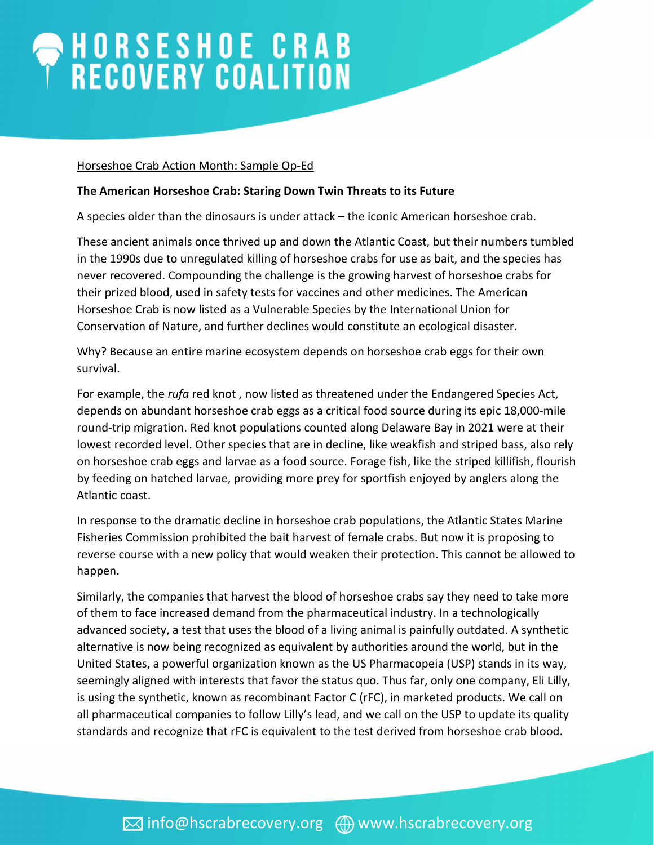## HORSESHOE CRAB<br>RECOVERY COALITION

## Horseshoe Crab Action Month: Sample Op-Ed

## The American Horseshoe Crab: Staring Down Twin Threats to its Future

A species older than the dinosaurs is under attack – the iconic American horseshoe crab.

These ancient animals once thrived up and down the Atlantic Coast, but their numbers tumbled in the 1990s due to unregulated killing of horseshoe crabs for use as bait, and the species has never recovered. Compounding the challenge is the growing harvest of horseshoe crabs for their prized blood, used in safety tests for vaccines and other medicines. The American Horseshoe Crab is now listed as a Vulnerable Species by the International Union for Conservation of Nature, and further declines would constitute an ecological disaster.

Why? Because an entire marine ecosystem depends on horseshoe crab eggs for their own survival.

For example, the *rufa* red knot, now listed as threatened under the Endangered Species Act, depends on abundant horseshoe crab eggs as a critical food source during its epic 18,000-mile round-trip migration. Red knot populations counted along Delaware Bay in 2021 were at their lowest recorded level. Other species that are in decline, like weakfish and striped bass, also rely on horseshoe crab eggs and larvae as a food source. Forage fish, like the striped killifish, flourish by feeding on hatched larvae, providing more prey for sportfish enjoyed by anglers along the Atlantic coast.

In response to the dramatic decline in horseshoe crab populations, the Atlantic States Marine Fisheries Commission prohibited the bait harvest of female crabs. But now it is proposing to reverse course with a new policy that would weaken their protection. This cannot be allowed to happen.

Similarly, the companies that harvest the blood of horseshoe crabs say they need to take more of them to face increased demand from the pharmaceutical industry. In a technologically advanced society, a test that uses the blood of a living animal is painfully outdated. A synthetic alternative is now being recognized as equivalent by authorities around the world, but in the United States, a powerful organization known as the US Pharmacopeia (USP) stands in its way, seemingly aligned with interests that favor the status quo. Thus far, only one company, Eli Lilly, is using the synthetic, known as recombinant Factor C (rFC), in marketed products. We call on all pharmaceutical companies to follow Lilly's lead, and we call on the USP to update its quality standards and recognize that rFC is equivalent to the test derived from horseshoe crab blood.